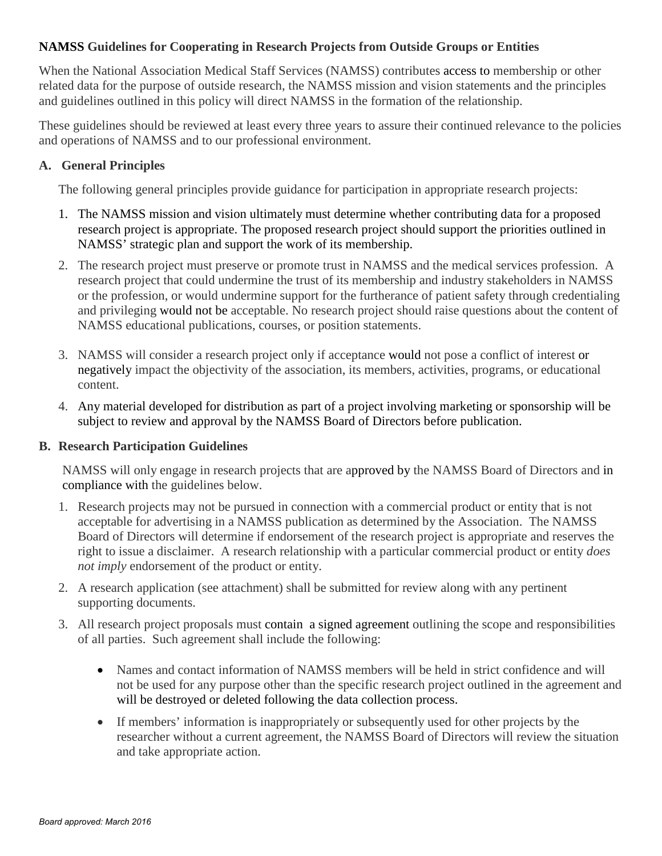# **NAMSS Guidelines for Cooperating in Research Projects from Outside Groups or Entities**

When the National Association Medical Staff Services (NAMSS) contributes access to membership or other related data for the purpose of outside research, the NAMSS mission and vision statements and the principles and guidelines outlined in this policy will direct NAMSS in the formation of the relationship.

These guidelines should be reviewed at least every three years to assure their continued relevance to the policies and operations of NAMSS and to our professional environment.

# **A. General Principles**

The following general principles provide guidance for participation in appropriate research projects:

- 1. The NAMSS mission and vision ultimately must determine whether contributing data for a proposed research project is appropriate. The proposed research project should support the priorities outlined in NAMSS' strategic plan and support the work of its membership.
- 2. The research project must preserve or promote trust in NAMSS and the medical services profession. A research project that could undermine the trust of its membership and industry stakeholders in NAMSS or the profession, or would undermine support for the furtherance of patient safety through credentialing and privileging would not be acceptable. No research project should raise questions about the content of NAMSS educational publications, courses, or position statements.
- 3. NAMSS will consider a research project only if acceptance would not pose a conflict of interest or negatively impact the objectivity of the association, its members, activities, programs, or educational content.
- 4. Any material developed for distribution as part of a project involving marketing or sponsorship will be subject to review and approval by the NAMSS Board of Directors before publication.

# **B. Research Participation Guidelines**

NAMSS will only engage in research projects that are approved by the NAMSS Board of Directors and in compliance with the guidelines below.

- 1. Research projects may not be pursued in connection with a commercial product or entity that is not acceptable for advertising in a NAMSS publication as determined by the Association. The NAMSS Board of Directors will determine if endorsement of the research project is appropriate and reserves the right to issue a disclaimer. A research relationship with a particular commercial product or entity *does not imply* endorsement of the product or entity.
- 2. A research application (see attachment) shall be submitted for review along with any pertinent supporting documents.
- 3. All research project proposals must contain a signed agreement outlining the scope and responsibilities of all parties. Such agreement shall include the following:
	- Names and contact information of NAMSS members will be held in strict confidence and will not be used for any purpose other than the specific research project outlined in the agreement and will be destroyed or deleted following the data collection process.
	- If members' information is inappropriately or subsequently used for other projects by the researcher without a current agreement, the NAMSS Board of Directors will review the situation and take appropriate action.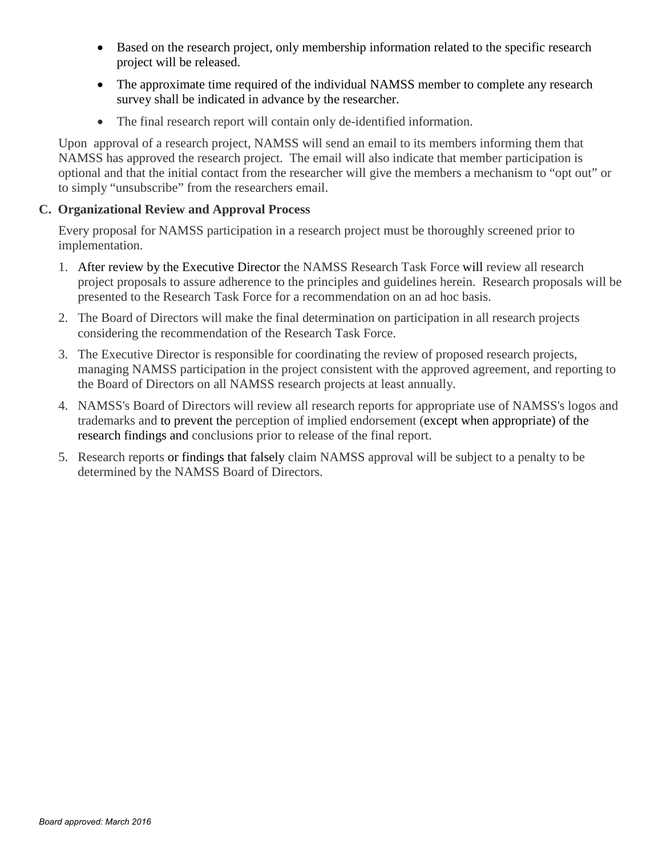- Based on the research project, only membership information related to the specific research project will be released.
- The approximate time required of the individual NAMSS member to complete any research survey shall be indicated in advance by the researcher.
- The final research report will contain only de-identified information.

Upon approval of a research project, NAMSS will send an email to its members informing them that NAMSS has approved the research project. The email will also indicate that member participation is optional and that the initial contact from the researcher will give the members a mechanism to "opt out" or to simply "unsubscribe" from the researchers email.

# **C. Organizational Review and Approval Process**

Every proposal for NAMSS participation in a research project must be thoroughly screened prior to implementation.

- 1. After review by the Executive Director the NAMSS Research Task Force will review all research project proposals to assure adherence to the principles and guidelines herein. Research proposals will be presented to the Research Task Force for a recommendation on an ad hoc basis.
- 2. The Board of Directors will make the final determination on participation in all research projects considering the recommendation of the Research Task Force.
- 3. The Executive Director is responsible for coordinating the review of proposed research projects, managing NAMSS participation in the project consistent with the approved agreement, and reporting to the Board of Directors on all NAMSS research projects at least annually.
- 4. NAMSS's Board of Directors will review all research reports for appropriate use of NAMSS's logos and trademarks and to prevent the perception of implied endorsement (except when appropriate) of the research findings and conclusions prior to release of the final report.
- 5. Research reports or findings that falsely claim NAMSS approval will be subject to a penalty to be determined by the NAMSS Board of Directors.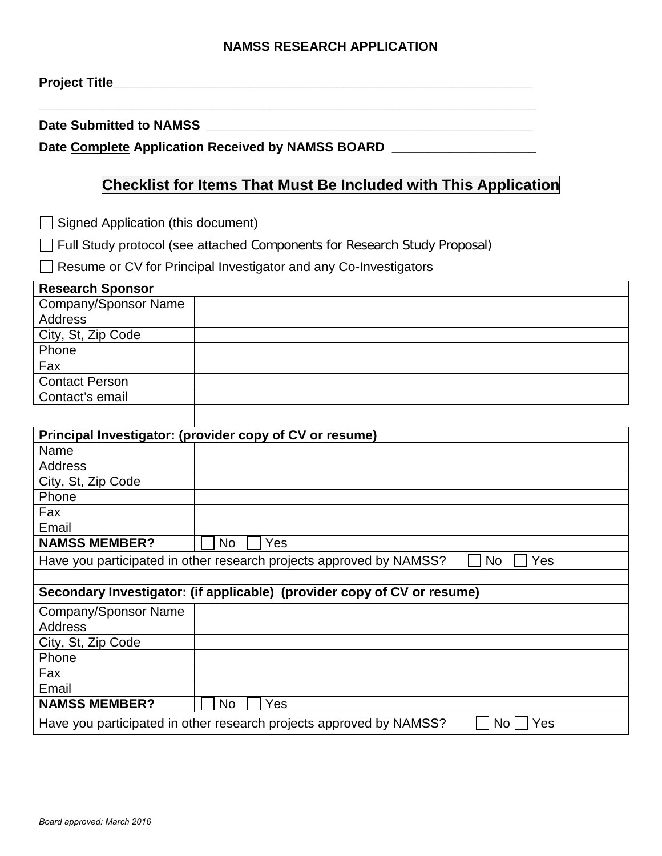# **NAMSS RESEARCH APPLICATION**

**Project Title\_\_\_\_\_\_\_\_\_\_\_\_\_\_\_\_\_\_\_\_\_\_\_\_\_\_\_\_\_\_\_\_\_\_\_\_\_\_\_\_\_\_\_\_\_\_\_\_\_\_\_\_\_\_\_\_\_\_**

Date Submitted to NAMSS

Date Complete Application Received by NAMSS BOARD **Late 100 Mateurs 2016** 

# **Checklist for Items That Must Be Included with This Application**

 $\Box$  Signed Application (this document)

Full Study protocol (see attached Components for Research Study Proposal)

Resume or CV for Principal Investigator and any Co-Investigators

| Principal Investigator: (provider copy of CV or resume)                           |           |  |
|-----------------------------------------------------------------------------------|-----------|--|
| Name                                                                              |           |  |
| <b>Address</b>                                                                    |           |  |
| City, St, Zip Code                                                                |           |  |
| Phone                                                                             |           |  |
| Fax                                                                               |           |  |
| Email                                                                             |           |  |
| <b>NAMSS MEMBER?</b>                                                              | Yes<br>No |  |
| Have you participated in other research projects approved by NAMSS?<br>Yes<br>No. |           |  |
|                                                                                   |           |  |
| Secondary Investigator: (if applicable) (provider copy of CV or resume)           |           |  |
| <b>Company/Sponsor Name</b>                                                       |           |  |
| Address                                                                           |           |  |
| City, St, Zip Code                                                                |           |  |
| Phone                                                                             |           |  |
| Fax                                                                               |           |  |
| Email                                                                             |           |  |
| <b>NAMSS MEMBER?</b>                                                              | Yes<br>No |  |
| Have you participated in other research projects approved by NAMSS?<br>No.<br>Yes |           |  |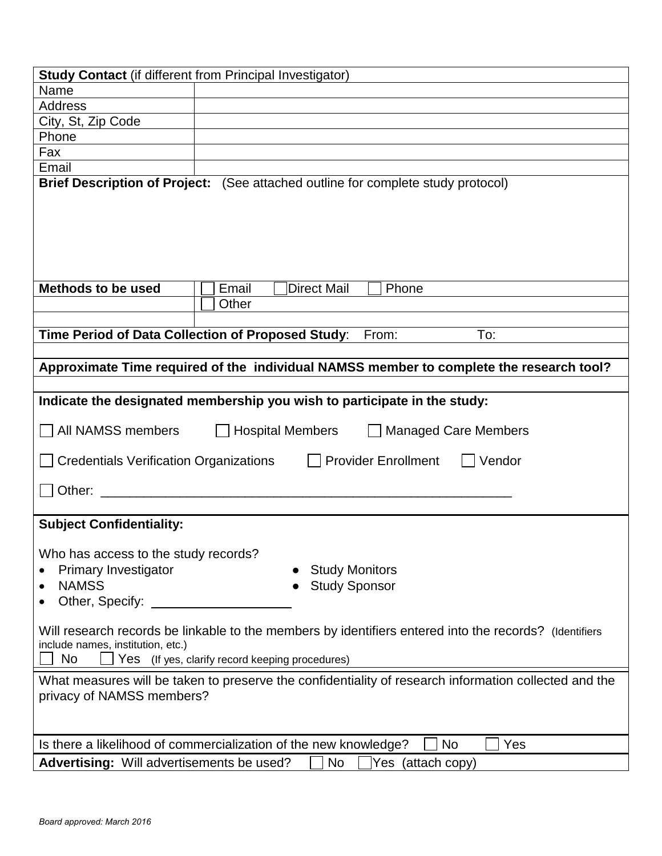| <b>Study Contact</b> (if different from Principal Investigator)                                                                                         |                                                                                                                                                           |  |  |
|---------------------------------------------------------------------------------------------------------------------------------------------------------|-----------------------------------------------------------------------------------------------------------------------------------------------------------|--|--|
| Name                                                                                                                                                    |                                                                                                                                                           |  |  |
| <b>Address</b>                                                                                                                                          |                                                                                                                                                           |  |  |
| City, St, Zip Code                                                                                                                                      |                                                                                                                                                           |  |  |
| Phone                                                                                                                                                   |                                                                                                                                                           |  |  |
| Fax                                                                                                                                                     |                                                                                                                                                           |  |  |
| Email                                                                                                                                                   |                                                                                                                                                           |  |  |
|                                                                                                                                                         | Brief Description of Project: (See attached outline for complete study protocol)                                                                          |  |  |
| Methods to be used                                                                                                                                      | Direct Mail<br>Email<br>Phone                                                                                                                             |  |  |
|                                                                                                                                                         | Other                                                                                                                                                     |  |  |
|                                                                                                                                                         |                                                                                                                                                           |  |  |
|                                                                                                                                                         | Time Period of Data Collection of Proposed Study:<br>From:<br>To:                                                                                         |  |  |
|                                                                                                                                                         |                                                                                                                                                           |  |  |
|                                                                                                                                                         | Approximate Time required of the individual NAMSS member to complete the research tool?                                                                   |  |  |
|                                                                                                                                                         |                                                                                                                                                           |  |  |
|                                                                                                                                                         | Indicate the designated membership you wish to participate in the study:                                                                                  |  |  |
| All NAMSS members                                                                                                                                       | Hospital Members<br><b>Managed Care Members</b>                                                                                                           |  |  |
| Credentials Verification Organizations [11]                                                                                                             | <b>Provider Enrollment</b><br>Vendor                                                                                                                      |  |  |
|                                                                                                                                                         |                                                                                                                                                           |  |  |
| <b>Subject Confidentiality:</b>                                                                                                                         |                                                                                                                                                           |  |  |
| Who has access to the study records?<br><b>Study Monitors</b><br><b>Primary Investigator</b><br><b>NAMSS</b><br><b>Study Sponsor</b><br>Other, Specify: |                                                                                                                                                           |  |  |
| include names, institution, etc.)<br>No                                                                                                                 | Will research records be linkable to the members by identifiers entered into the records? (Identifiers<br>Yes (If yes, clarify record keeping procedures) |  |  |
| What measures will be taken to preserve the confidentiality of research information collected and the<br>privacy of NAMSS members?                      |                                                                                                                                                           |  |  |
| Is there a likelihood of commercialization of the new knowledge?<br>No<br>Yes                                                                           |                                                                                                                                                           |  |  |
| Advertising: Will advertisements be used?                                                                                                               | <b>No</b><br>Yes (attach copy)                                                                                                                            |  |  |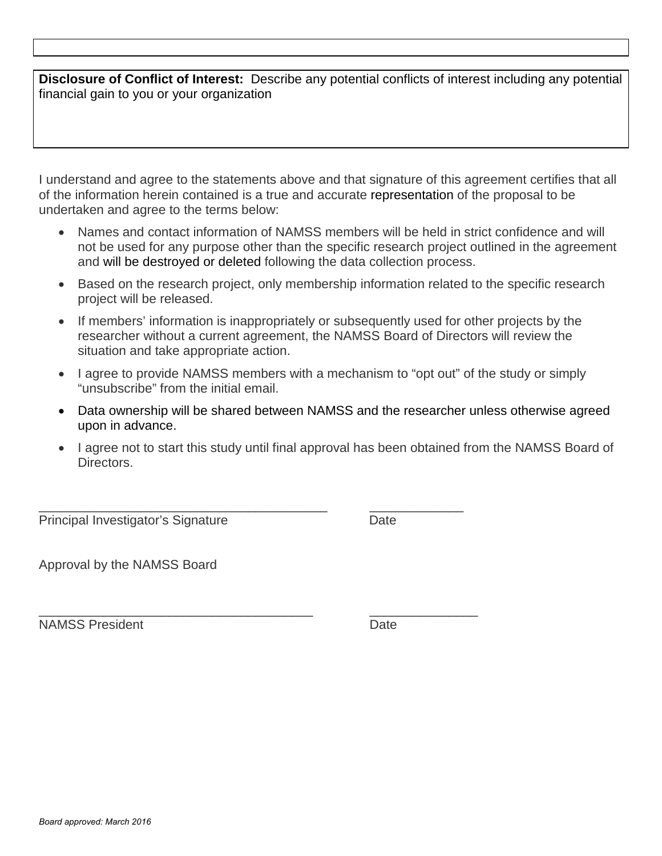**Disclosure of Conflict of Interest:** Describe any potential conflicts of interest including any potential financial gain to you or your organization

I understand and agree to the statements above and that signature of this agreement certifies that all of the information herein contained is a true and accurate representation of the proposal to be undertaken and agree to the terms below:

- Names and contact information of NAMSS members will be held in strict confidence and will not be used for any purpose other than the specific research project outlined in the agreement and will be destroyed or deleted following the data collection process.
- Based on the research project, only membership information related to the specific research project will be released.
- If members' information is inappropriately or subsequently used for other projects by the researcher without a current agreement, the NAMSS Board of Directors will review the situation and take appropriate action.
- I agree to provide NAMSS members with a mechanism to "opt out" of the study or simply "unsubscribe" from the initial email.
- Data ownership will be shared between NAMSS and the researcher unless otherwise agreed upon in advance.
- I agree not to start this study until final approval has been obtained from the NAMSS Board of Directors.

\_\_\_\_\_\_\_\_\_\_\_\_\_\_\_\_\_\_\_\_\_\_\_\_\_\_\_\_\_\_\_\_\_\_\_\_\_\_\_\_ \_\_\_\_\_\_\_\_\_\_\_\_\_ Principal Investigator's Signature **Date** Date

Approval by the NAMSS Board

\_\_\_\_\_\_\_\_\_\_\_\_\_\_\_\_\_\_\_\_\_\_\_\_\_\_\_\_\_\_\_\_\_\_\_\_\_\_ \_\_\_\_\_\_\_\_\_\_\_\_\_\_\_ NAMSS President **Date**